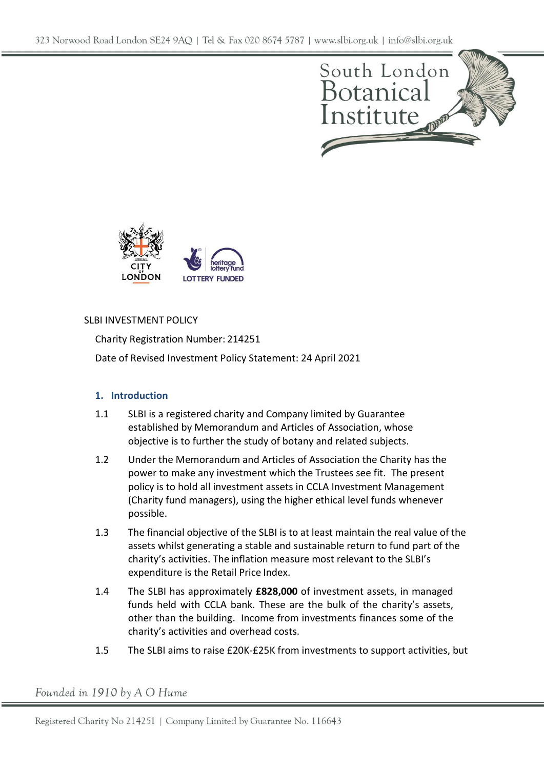



## SLBI INVESTMENT POLICY

Charity Registration Number: 214251 Date of Revised Investment Policy Statement: 24 April 2021

# **1. Introduction**

- 1.1 SLBI is a registered charity and Company limited by Guarantee established by Memorandum and Articles of Association, whose objective is to further the study of botany and related subjects.
- 1.2 Under the Memorandum and Articles of Association the Charity has the power to make any investment which the Trustees see fit. The present policy is to hold all investment assets in CCLA Investment Management (Charity fund managers), using the higher ethical level funds whenever possible.
- 1.3 The financial objective of the SLBI is to at least maintain the real value of the assets whilst generating a stable and sustainable return to fund part of the charity's activities. The inflation measure most relevant to the SLBI's expenditure is the Retail Price Index.
- 1.4 The SLBI has approximately **£828,000** of investment assets, in managed funds held with CCLA bank. These are the bulk of the charity's assets, other than the building. Income from investments finances some of the charity's activities and overhead costs.
- 1.5 The SLBI aims to raise £20K-£25K from investments to support activities, but

Founded in 1910 by A O Hume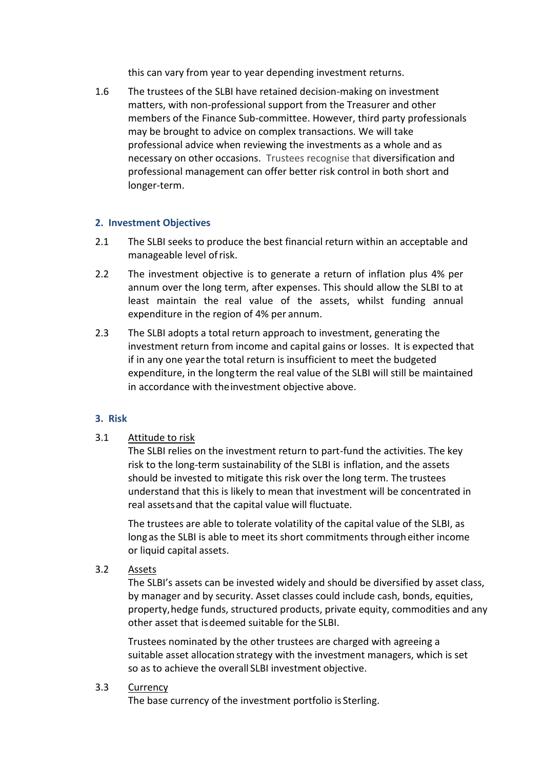this can vary from year to year depending investment returns.

1.6 The trustees of the SLBI have retained decision-making on investment matters, with non-professional support from the Treasurer and other members of the Finance Sub-committee. However, third party professionals may be brought to advice on complex transactions. We will take professional advice when reviewing the investments as a whole and as necessary on other occasions. Trustees recognise that diversification and professional management can offer better risk control in both short and longer-term.

### **2. Investment Objectives**

- 2.1 The SLBI seeks to produce the best financial return within an acceptable and manageable level ofrisk.
- 2.2 The investment objective is to generate a return of inflation plus 4% per annum over the long term, after expenses. This should allow the SLBI to at least maintain the real value of the assets, whilst funding annual expenditure in the region of 4% per annum.
- 2.3 The SLBI adopts a total return approach to investment, generating the investment return from income and capital gains or losses. It is expected that if in any one yearthe total return is insufficient to meet the budgeted expenditure, in the longterm the real value of the SLBI will still be maintained in accordance with theinvestment objective above.

### **3. Risk**

### 3.1 Attitude to risk

The SLBI relies on the investment return to part-fund the activities. The key risk to the long-term sustainability of the SLBI is inflation, and the assets should be invested to mitigate this risk over the long term. The trustees understand that this is likely to mean that investment will be concentrated in real assetsand that the capital value will fluctuate.

The trustees are able to tolerate volatility of the capital value of the SLBI, as long as the SLBI is able to meet its short commitments through either income or liquid capital assets.

3.2 Assets

The SLBI's assets can be invested widely and should be diversified by asset class, by manager and by security. Asset classes could include cash, bonds, equities, property,hedge funds, structured products, private equity, commodities and any other asset that isdeemed suitable for the SLBI.

Trustees nominated by the other trustees are charged with agreeing a suitable asset allocation strategy with the investment managers, which is set so as to achieve the overall SLBI investment objective.

#### 3.3 Currency

The base currency of the investment portfolio is Sterling.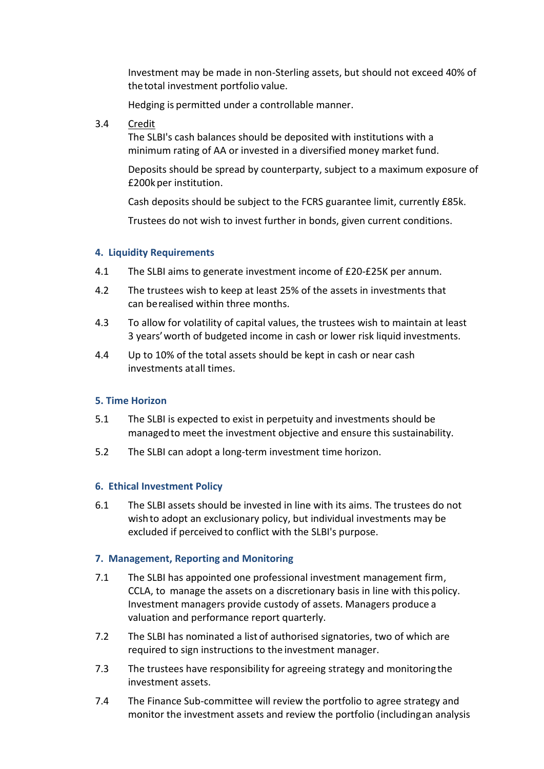Investment may be made in non‐Sterling assets, but should not exceed 40% of thetotal investment portfolio value.

Hedging is permitted under a controllable manner.

3.4 Credit

The SLBI's cash balances should be deposited with institutions with a minimum rating of AA or invested in a diversified money market fund.

Deposits should be spread by counterparty, subject to a maximum exposure of £200kper institution.

Cash deposits should be subject to the FCRS guarantee limit, currently £85k.

Trustees do not wish to invest further in bonds, given current conditions.

## **4. Liquidity Requirements**

- 4.1 The SLBI aims to generate investment income of £20-£25K per annum.
- 4.2 The trustees wish to keep at least 25% of the assets in investments that can berealised within three months.
- 4.3 To allow for volatility of capital values, the trustees wish to maintain at least 3 years'worth of budgeted income in cash or lower risk liquid investments.
- 4.4 Up to 10% of the total assets should be kept in cash or near cash investments atall times.

### **5. Time Horizon**

- 5.1 The SLBI is expected to exist in perpetuity and investments should be managedto meet the investment objective and ensure this sustainability.
- 5.2 The SLBI can adopt a long-term investment time horizon.

### **6. Ethical Investment Policy**

6.1 The SLBI assets should be invested in line with its aims. The trustees do not wishto adopt an exclusionary policy, but individual investments may be excluded if perceived to conflict with the SLBI's purpose.

### **7. Management, Reporting and Monitoring**

- 7.1 The SLBI has appointed one professional investment management firm, CCLA, to manage the assets on a discretionary basis in line with thispolicy. Investment managers provide custody of assets. Managers produce a valuation and performance report quarterly.
- 7.2 The SLBI has nominated a list of authorised signatories, two of which are required to sign instructions to the investment manager.
- 7.3 The trustees have responsibility for agreeing strategy and monitoring the investment assets.
- 7.4 The Finance Sub-committee will review the portfolio to agree strategy and monitor the investment assets and review the portfolio (includingan analysis